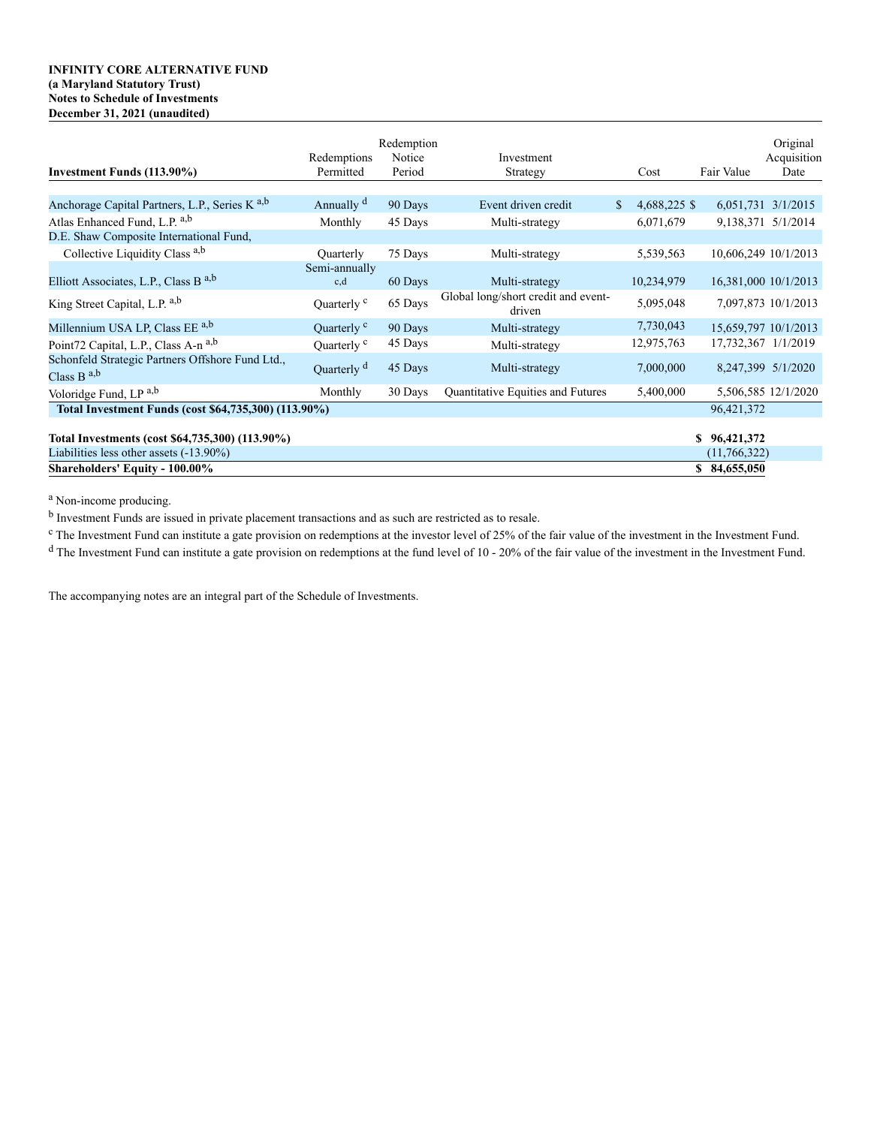## **INFINITY CORE ALTERNATIVE FUND (a Maryland Statutory Trust) Notes to Schedule of Investments December 31, 2021 (unaudited)**

| Investment Funds (113.90%)                                                                    | Redemptions<br>Permitted | Redemption<br>Notice<br>Period | Investment<br>Strategy                        | Cost               | Fair Value                   | Original<br>Acquisition<br>Date |
|-----------------------------------------------------------------------------------------------|--------------------------|--------------------------------|-----------------------------------------------|--------------------|------------------------------|---------------------------------|
|                                                                                               |                          |                                |                                               |                    |                              |                                 |
| Anchorage Capital Partners, L.P., Series K <sup>a,b</sup>                                     | Annually <sup>d</sup>    | 90 Days                        | Event driven credit                           | 4,688,225 \$<br>S. |                              | 6,051,731 3/1/2015              |
| Atlas Enhanced Fund, L.P. a,b                                                                 | Monthly                  | 45 Days                        | Multi-strategy                                | 6,071,679          |                              | 9,138,371 5/1/2014              |
| D.E. Shaw Composite International Fund,                                                       |                          |                                |                                               |                    |                              |                                 |
| Collective Liquidity Class a,b                                                                | Quarterly                | 75 Days                        | Multi-strategy                                | 5,539,563          | 10,606,249 10/1/2013         |                                 |
| Elliott Associates, L.P., Class B <sup>a,b</sup>                                              | Semi-annually<br>c,d     | 60 Days                        | Multi-strategy                                | 10,234,979         | 16,381,000 10/1/2013         |                                 |
| King Street Capital, L.P. a,b                                                                 | Quarterly <sup>c</sup>   | 65 Days                        | Global long/short credit and event-<br>driven | 5,095,048          |                              | 7,097,873 10/1/2013             |
| Millennium USA LP, Class EE a,b                                                               | Quarterly <sup>c</sup>   | 90 Days                        | Multi-strategy                                | 7,730,043          | 15,659,797 10/1/2013         |                                 |
| Point72 Capital, L.P., Class A-n a,b                                                          | Quarterly <sup>c</sup>   | 45 Days                        | Multi-strategy                                | 12,975,763         | 17,732,367 1/1/2019          |                                 |
| Schonfeld Strategic Partners Offshore Fund Ltd.,<br>Class B $^{a,b}$                          | Quarterly <sup>d</sup>   | 45 Days                        | Multi-strategy                                | 7,000,000          |                              | 8,247,399 5/1/2020              |
| Voloridge Fund, LP a,b                                                                        | Monthly                  | 30 Days                        | Quantitative Equities and Futures             | 5,400,000          |                              | 5,506,585 12/1/2020             |
| Total Investment Funds (cost \$64,735,300) (113.90%)                                          |                          |                                |                                               |                    | 96,421,372                   |                                 |
| Total Investments (cost \$64,735,300) (113.90%)<br>Liabilities less other assets $(-13.90\%)$ |                          |                                |                                               |                    | \$96,421,372<br>(11,766,322) |                                 |
| <b>Shareholders' Equity - 100.00%</b>                                                         |                          |                                |                                               |                    | 84,655,050<br>\$             |                                 |

<sup>a</sup> Non-income producing.

<sup>b</sup> Investment Funds are issued in private placement transactions and as such are restricted as to resale.

<sup>c</sup> The Investment Fund can institute a gate provision on redemptions at the investor level of 25% of the fair value of the investment in the Investment Fund.

<sup>d</sup> The Investment Fund can institute a gate provision on redemptions at the fund level of 10 - 20% of the fair value of the investment in the Investment Fund.

The accompanying notes are an integral part of the Schedule of Investments.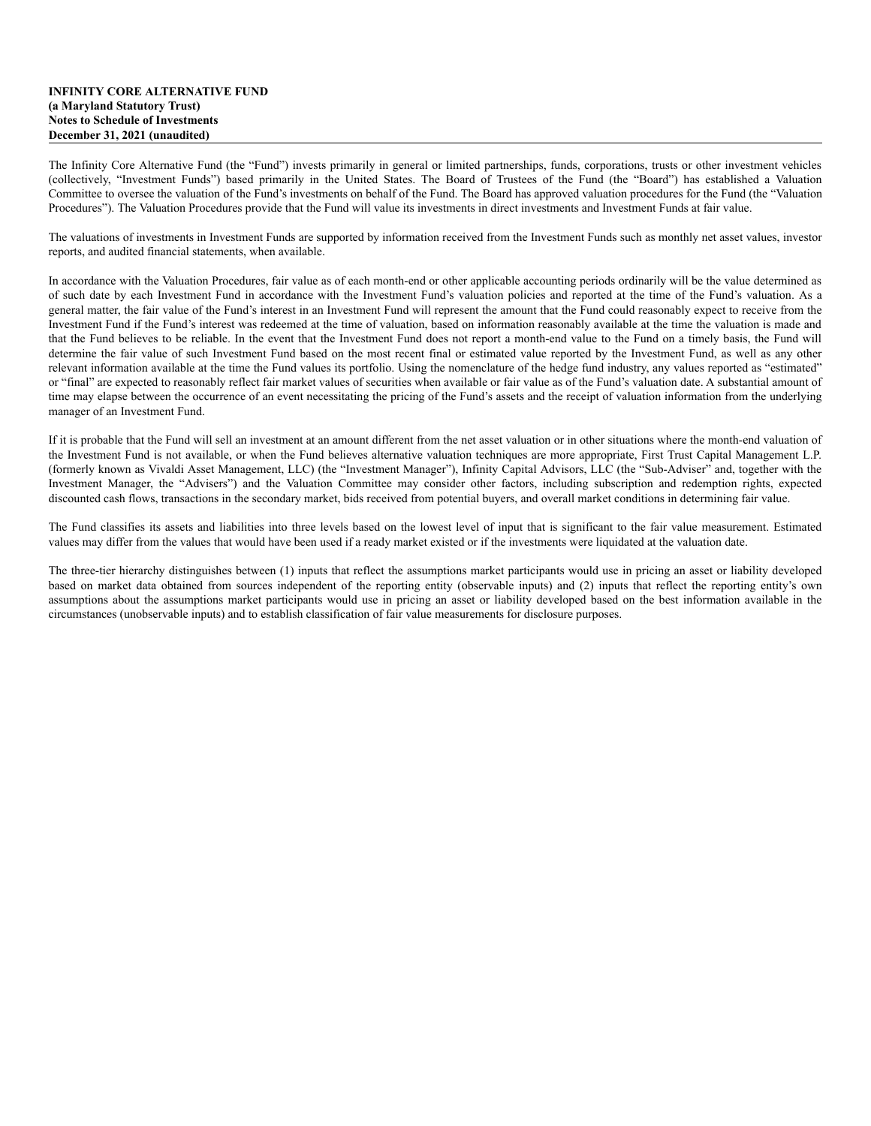## **INFINITY CORE ALTERNATIVE FUND (a Maryland Statutory Trust) Notes to Schedule of Investments December 31, 2021 (unaudited)**

The Infinity Core Alternative Fund (the "Fund") invests primarily in general or limited partnerships, funds, corporations, trusts or other investment vehicles (collectively, "Investment Funds") based primarily in the United States. The Board of Trustees of the Fund (the "Board") has established a Valuation Committee to oversee the valuation of the Fund's investments on behalf of the Fund. The Board has approved valuation procedures for the Fund (the "Valuation Procedures"). The Valuation Procedures provide that the Fund will value its investments in direct investments and Investment Funds at fair value.

The valuations of investments in Investment Funds are supported by information received from the Investment Funds such as monthly net asset values, investor reports, and audited financial statements, when available.

In accordance with the Valuation Procedures, fair value as of each month-end or other applicable accounting periods ordinarily will be the value determined as of such date by each Investment Fund in accordance with the Investment Fund's valuation policies and reported at the time of the Fund's valuation. As a general matter, the fair value of the Fund's interest in an Investment Fund will represent the amount that the Fund could reasonably expect to receive from the Investment Fund if the Fund's interest was redeemed at the time of valuation, based on information reasonably available at the time the valuation is made and that the Fund believes to be reliable. In the event that the Investment Fund does not report a month-end value to the Fund on a timely basis, the Fund will determine the fair value of such Investment Fund based on the most recent final or estimated value reported by the Investment Fund, as well as any other relevant information available at the time the Fund values its portfolio. Using the nomenclature of the hedge fund industry, any values reported as "estimated" or "final" are expected to reasonably reflect fair market values of securities when available or fair value as of the Fund's valuation date. A substantial amount of time may elapse between the occurrence of an event necessitating the pricing of the Fund's assets and the receipt of valuation information from the underlying manager of an Investment Fund.

If it is probable that the Fund will sell an investment at an amount different from the net asset valuation or in other situations where the month-end valuation of the Investment Fund is not available, or when the Fund believes alternative valuation techniques are more appropriate, First Trust Capital Management L.P. (formerly known as Vivaldi Asset Management, LLC) (the "Investment Manager"), Infinity Capital Advisors, LLC (the "Sub-Adviser" and, together with the Investment Manager, the "Advisers") and the Valuation Committee may consider other factors, including subscription and redemption rights, expected discounted cash flows, transactions in the secondary market, bids received from potential buyers, and overall market conditions in determining fair value.

The Fund classifies its assets and liabilities into three levels based on the lowest level of input that is significant to the fair value measurement. Estimated values may differ from the values that would have been used if a ready market existed or if the investments were liquidated at the valuation date.

The three-tier hierarchy distinguishes between (1) inputs that reflect the assumptions market participants would use in pricing an asset or liability developed based on market data obtained from sources independent of the reporting entity (observable inputs) and (2) inputs that reflect the reporting entity's own assumptions about the assumptions market participants would use in pricing an asset or liability developed based on the best information available in the circumstances (unobservable inputs) and to establish classification of fair value measurements for disclosure purposes.